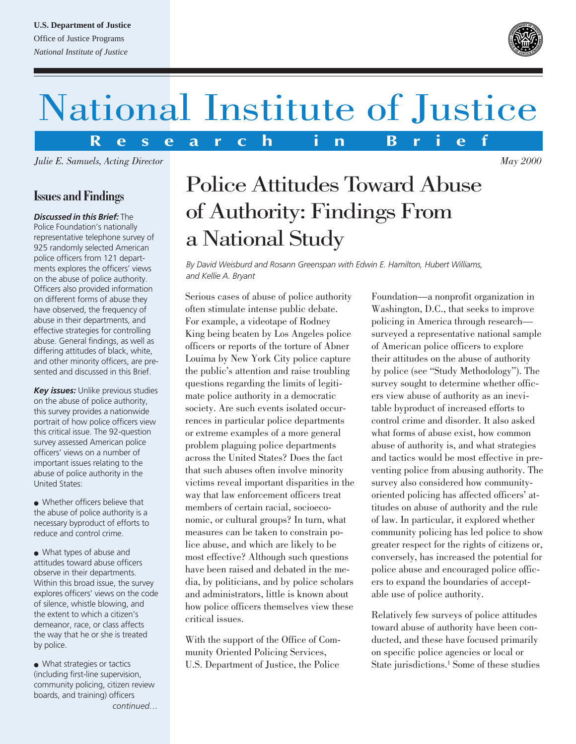#### **U.S. Department of Justice**

Office of Justice Programs *National Institute of Justice*



# National Institute of Justice

**R e s e a r c h i n B r i e f**

*Julie E. Samuels, Acting Director*

#### **Issues and Findings**

*Discussed in this Brief:* The Police Foundation's nationally representative telephone survey of 925 randomly selected American police officers from 121 departments explores the officers' views on the abuse of police authority. Officers also provided information on different forms of abuse they have observed, the frequency of abuse in their departments, and effective strategies for controlling abuse. General findings, as well as differing attitudes of black, white, and other minority officers, are presented and discussed in this Brief.

*Key issues:* Unlike previous studies on the abuse of police authority, this survey provides a nationwide portrait of how police officers view this critical issue. The 92-question survey assessed American police officers' views on a number of important issues relating to the abuse of police authority in the United States:

● Whether officers believe that the abuse of police authority is a necessary byproduct of efforts to reduce and control crime.

● What types of abuse and attitudes toward abuse officers observe in their departments. Within this broad issue, the survey explores officers' views on the code of silence, whistle blowing, and the extent to which a citizen's demeanor, race, or class affects the way that he or she is treated by police.

*continued…* ● What strategies or tactics (including first-line supervision, community policing, citizen review boards, and training) officers

# Police Attitudes Toward Abuse of Authority: Findings From a National Study

*By David Weisburd and Rosann Greenspan with Edwin E. Hamilton, Hubert Williams, and Kellie A. Bryant*

Serious cases of abuse of police authority often stimulate intense public debate. For example, a videotape of Rodney King being beaten by Los Angeles police officers or reports of the torture of Abner Louima by New York City police capture the public's attention and raise troubling questions regarding the limits of legitimate police authority in a democratic society. Are such events isolated occurrences in particular police departments or extreme examples of a more general problem plaguing police departments across the United States? Does the fact that such abuses often involve minority victims reveal important disparities in the way that law enforcement officers treat members of certain racial, socioeconomic, or cultural groups? In turn, what measures can be taken to constrain police abuse, and which are likely to be most effective? Although such questions have been raised and debated in the media, by politicians, and by police scholars and administrators, little is known about how police officers themselves view these critical issues.

With the support of the Office of Community Oriented Policing Services, U.S. Department of Justice, the Police

Foundation—a nonprofit organization in Washington, D.C., that seeks to improve policing in America through research surveyed a representative national sample of American police officers to explore their attitudes on the abuse of authority by police (see "Study Methodology"). The survey sought to determine whether officers view abuse of authority as an inevitable byproduct of increased efforts to control crime and disorder. It also asked what forms of abuse exist, how common abuse of authority is, and what strategies and tactics would be most effective in preventing police from abusing authority. The survey also considered how communityoriented policing has affected officers' attitudes on abuse of authority and the rule of law. In particular, it explored whether community policing has led police to show greater respect for the rights of citizens or, conversely, has increased the potential for police abuse and encouraged police officers to expand the boundaries of acceptable use of police authority.

Relatively few surveys of police attitudes toward abuse of authority have been conducted, and these have focused primarily on specific police agencies or local or State jurisdictions.<sup>1</sup> Some of these studies

*May 2000*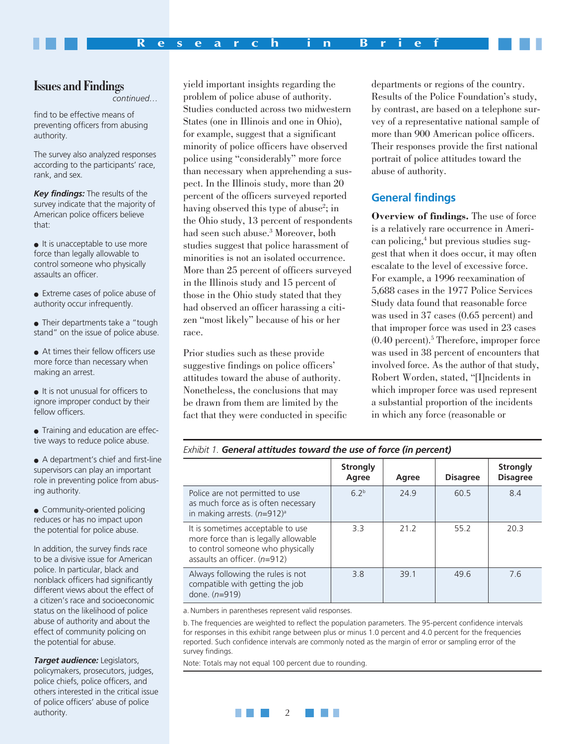#### **Issues and Findings**

*continued…*

find to be effective means of preventing officers from abusing authority.

The survey also analyzed responses according to the participants' race, rank, and sex.

*Key findings:* The results of the survey indicate that the majority of American police officers believe that:

● It is unacceptable to use more force than legally allowable to control someone who physically assaults an officer.

● Extreme cases of police abuse of authority occur infrequently.

• Their departments take a "tough stand" on the issue of police abuse.

● At times their fellow officers use more force than necessary when making an arrest.

● It is not unusual for officers to ignore improper conduct by their fellow officers.

• Training and education are effective ways to reduce police abuse.

● A department's chief and first-line supervisors can play an important role in preventing police from abusing authority.

● Community-oriented policing reduces or has no impact upon the potential for police abuse.

In addition, the survey finds race to be a divisive issue for American police. In particular, black and nonblack officers had significantly different views about the effect of a citizen's race and socioeconomic status on the likelihood of police abuse of authority and about the effect of community policing on the potential for abuse.

*Target audience:* Legislators, policymakers, prosecutors, judges, police chiefs, police officers, and others interested in the critical issue of police officers' abuse of police authority.

yield important insights regarding the problem of police abuse of authority. Studies conducted across two midwestern States (one in Illinois and one in Ohio), for example, suggest that a significant minority of police officers have observed police using "considerably" more force than necessary when apprehending a suspect. In the Illinois study, more than 20 percent of the officers surveyed reported having observed this type of abuse<sup>2</sup>; in the Ohio study, 13 percent of respondents had seen such abuse.3 Moreover, both studies suggest that police harassment of minorities is not an isolated occurrence. More than 25 percent of officers surveyed in the Illinois study and 15 percent of those in the Ohio study stated that they had observed an officer harassing a citizen "most likely" because of his or her race.

Prior studies such as these provide suggestive findings on police officers' attitudes toward the abuse of authority. Nonetheless, the conclusions that may be drawn from them are limited by the fact that they were conducted in specific

departments or regions of the country. Results of the Police Foundation's study, by contrast, are based on a telephone survey of a representative national sample of more than 900 American police officers. Their responses provide the first national portrait of police attitudes toward the abuse of authority.

#### **General findings**

**Overview of findings.** The use of force is a relatively rare occurrence in American policing,<sup>4</sup> but previous studies suggest that when it does occur, it may often escalate to the level of excessive force. For example, a 1996 reexamination of 5,688 cases in the 1977 Police Services Study data found that reasonable force was used in 37 cases (0.65 percent) and that improper force was used in 23 cases (0.40 percent).5 Therefore, improper force was used in 38 percent of encounters that involved force. As the author of that study, Robert Worden, stated, "[I]ncidents in which improper force was used represent a substantial proportion of the incidents in which any force (reasonable or

|                                                                                                                                                  | <b>Strongly</b><br>Agree | Agree | <b>Disagree</b> | <b>Strongly</b><br><b>Disagree</b> |
|--------------------------------------------------------------------------------------------------------------------------------------------------|--------------------------|-------|-----------------|------------------------------------|
| Police are not permitted to use<br>as much force as is often necessary<br>in making arrests. $(n=912)^{a}$                                       | 62 <sup>b</sup>          | 249   | 60.5            | 8.4                                |
| It is sometimes acceptable to use<br>more force than is legally allowable<br>to control someone who physically<br>assaults an officer. $(n=912)$ | 33                       | 21.2  | 55.2            | 203                                |
| Always following the rules is not<br>compatible with getting the job<br>done. $(n=919)$                                                          | 38                       | 39 1  | 496             | 7.6                                |

#### *Exhibit 1. General attitudes toward the use of force (in percent)*

a. Numbers in parentheses represent valid responses.

b. The frequencies are weighted to reflect the population parameters. The 95-percent confidence intervals for responses in this exhibit range between plus or minus 1.0 percent and 4.0 percent for the frequencies reported. Such confidence intervals are commonly noted as the margin of error or sampling error of the survey findings.

Note: Totals may not equal 100 percent due to rounding.

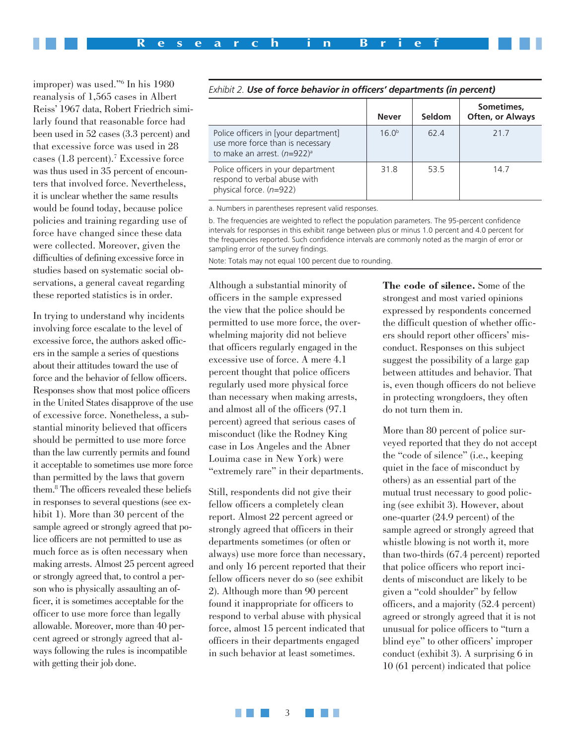improper) was used."6 In his 1980 reanalysis of 1,565 cases in Albert Reiss' 1967 data, Robert Friedrich similarly found that reasonable force had been used in 52 cases (3.3 percent) and that excessive force was used in 28 cases (1.8 percent).7 Excessive force was thus used in 35 percent of encounters that involved force. Nevertheless, it is unclear whether the same results would be found today, because police policies and training regarding use of force have changed since these data were collected. Moreover, given the difficulties of defining excessive force in studies based on systematic social observations, a general caveat regarding these reported statistics is in order.

In trying to understand why incidents involving force escalate to the level of excessive force, the authors asked officers in the sample a series of questions about their attitudes toward the use of force and the behavior of fellow officers. Responses show that most police officers in the United States disapprove of the use of excessive force. Nonetheless, a substantial minority believed that officers should be permitted to use more force than the law currently permits and found it acceptable to sometimes use more force than permitted by the laws that govern them.8 The officers revealed these beliefs in responses to several questions (see exhibit 1). More than 30 percent of the sample agreed or strongly agreed that police officers are not permitted to use as much force as is often necessary when making arrests. Almost 25 percent agreed or strongly agreed that, to control a person who is physically assaulting an officer, it is sometimes acceptable for the officer to use more force than legally allowable. Moreover, more than 40 percent agreed or strongly agreed that always following the rules is incompatible with getting their job done.

|                                                                                                              | <b>Never</b>      | Seldom | Sometimes,<br><b>Often, or Always</b> |
|--------------------------------------------------------------------------------------------------------------|-------------------|--------|---------------------------------------|
| Police officers in [your department]<br>use more force than is necessary<br>to make an arrest. $(n=922)^{a}$ | 16.0 <sup>b</sup> | 624    | 217                                   |
| Police officers in your department<br>respond to verbal abuse with<br>physical force. (n=922)                | 31.8              | 535    | 14.7                                  |

#### *Exhibit 2. Use of force behavior in officers' departments (in percent)*

a. Numbers in parentheses represent valid responses.

b. The frequencies are weighted to reflect the population parameters. The 95-percent confidence intervals for responses in this exhibit range between plus or minus 1.0 percent and 4.0 percent for the frequencies reported. Such confidence intervals are commonly noted as the margin of error or sampling error of the survey findings.

Note: Totals may not equal 100 percent due to rounding.

Although a substantial minority of officers in the sample expressed the view that the police should be permitted to use more force, the overwhelming majority did not believe that officers regularly engaged in the excessive use of force. A mere 4.1 percent thought that police officers regularly used more physical force than necessary when making arrests, and almost all of the officers (97.1 percent) agreed that serious cases of misconduct (like the Rodney King case in Los Angeles and the Abner Louima case in New York) were "extremely rare" in their departments.

Still, respondents did not give their fellow officers a completely clean report. Almost 22 percent agreed or strongly agreed that officers in their departments sometimes (or often or always) use more force than necessary, and only 16 percent reported that their fellow officers never do so (see exhibit 2). Although more than 90 percent found it inappropriate for officers to respond to verbal abuse with physical force, almost 15 percent indicated that officers in their departments engaged in such behavior at least sometimes.

**The code of silence.** Some of the strongest and most varied opinions expressed by respondents concerned the difficult question of whether officers should report other officers' misconduct. Responses on this subject suggest the possibility of a large gap between attitudes and behavior. That is, even though officers do not believe in protecting wrongdoers, they often do not turn them in.

More than 80 percent of police surveyed reported that they do not accept the "code of silence" (i.e., keeping quiet in the face of misconduct by others) as an essential part of the mutual trust necessary to good policing (see exhibit 3). However, about one-quarter (24.9 percent) of the sample agreed or strongly agreed that whistle blowing is not worth it, more than two-thirds (67.4 percent) reported that police officers who report incidents of misconduct are likely to be given a "cold shoulder" by fellow officers, and a majority (52.4 percent) agreed or strongly agreed that it is not unusual for police officers to "turn a blind eye" to other officers' improper conduct (exhibit 3). A surprising 6 in 10 (61 percent) indicated that police

3 **The Company Contract Contract**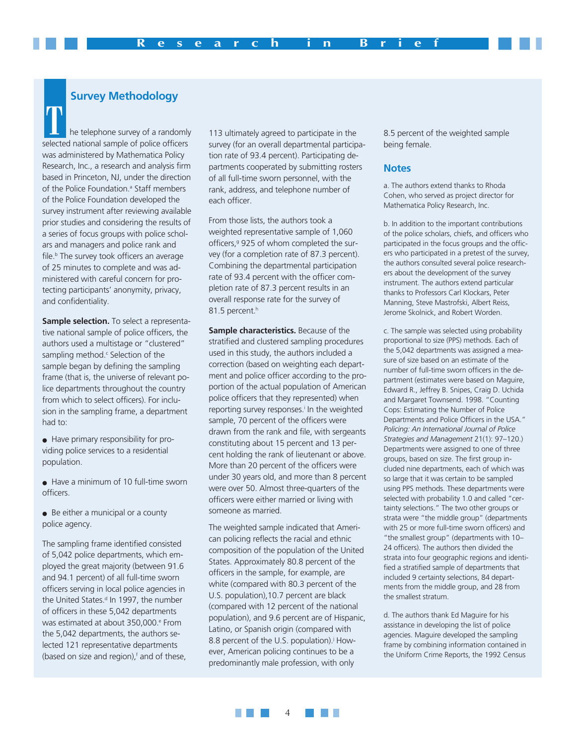## **Survey Methodology**

**T**<br> **T** he telephone survey of a randomly<br>
selected national sample of police officers he telephone survey of a randomly was administered by Mathematica Policy Research, Inc., a research and analysis firm based in Princeton, NJ, under the direction of the Police Foundation.<sup>a</sup> Staff members of the Police Foundation developed the survey instrument after reviewing available prior studies and considering the results of a series of focus groups with police scholars and managers and police rank and file.<sup>b</sup> The survey took officers an average of 25 minutes to complete and was administered with careful concern for protecting participants' anonymity, privacy, and confidentiality.

**Sample selection.** To select a representative national sample of police officers, the authors used a multistage or "clustered" sampling method.<sup>c</sup> Selection of the sample began by defining the sampling frame (that is, the universe of relevant police departments throughout the country from which to select officers). For inclusion in the sampling frame, a department had to:

● Have primary responsibility for providing police services to a residential population.

● Have a minimum of 10 full-time sworn officers.

 $\bullet$  Be either a municipal or a county police agency.

The sampling frame identified consisted of 5,042 police departments, which employed the great majority (between 91.6 and 94.1 percent) of all full-time sworn officers serving in local police agencies in the United States.<sup>d</sup> In 1997, the number of officers in these 5,042 departments was estimated at about 350,000.<sup>e</sup> From the 5,042 departments, the authors selected 121 representative departments (based on size and region), $<sup>f</sup>$  and of these,</sup>

113 ultimately agreed to participate in the survey (for an overall departmental participation rate of 93.4 percent). Participating departments cooperated by submitting rosters of all full-time sworn personnel, with the rank, address, and telephone number of each officer.

From those lists, the authors took a weighted representative sample of 1,060 officers,<sup>9</sup> 925 of whom completed the survey (for a completion rate of 87.3 percent). Combining the departmental participation rate of 93.4 percent with the officer completion rate of 87.3 percent results in an overall response rate for the survey of 81.5 percent.h

**Sample characteristics.** Because of the stratified and clustered sampling procedures used in this study, the authors included a correction (based on weighting each department and police officer according to the proportion of the actual population of American police officers that they represented) when reporting survey responses.<sup>i</sup> In the weighted sample, 70 percent of the officers were drawn from the rank and file, with sergeants constituting about 15 percent and 13 percent holding the rank of lieutenant or above. More than 20 percent of the officers were under 30 years old, and more than 8 percent were over 50. Almost three-quarters of the officers were either married or living with someone as married.

The weighted sample indicated that American policing reflects the racial and ethnic composition of the population of the United States. Approximately 80.8 percent of the officers in the sample, for example, are white (compared with 80.3 percent of the U.S. population),10.7 percent are black (compared with 12 percent of the national population), and 9.6 percent are of Hispanic, Latino, or Spanish origin (compared with 8.8 percent of the U.S. population).<sup>j</sup> However, American policing continues to be a predominantly male profession, with only

8.5 percent of the weighted sample being female.

#### **Notes**

a. The authors extend thanks to Rhoda Cohen, who served as project director for Mathematica Policy Research, Inc.

b. In addition to the important contributions of the police scholars, chiefs, and officers who participated in the focus groups and the officers who participated in a pretest of the survey, the authors consulted several police researchers about the development of the survey instrument. The authors extend particular thanks to Professors Carl Klockars, Peter Manning, Steve Mastrofski, Albert Reiss, Jerome Skolnick, and Robert Worden.

c. The sample was selected using probability proportional to size (PPS) methods. Each of the 5,042 departments was assigned a measure of size based on an estimate of the number of full-time sworn officers in the department (estimates were based on Maguire, Edward R., Jeffrey B. Snipes, Craig D. Uchida and Margaret Townsend. 1998. "Counting Cops: Estimating the Number of Police Departments and Police Officers in the USA." *Policing: An International Journal of Police Strategies and Management* 21(1): 97–120.) Departments were assigned to one of three groups, based on size. The first group included nine departments, each of which was so large that it was certain to be sampled using PPS methods. These departments were selected with probability 1.0 and called "certainty selections." The two other groups or strata were "the middle group" (departments with 25 or more full-time sworn officers) and "the smallest group" (departments with 10– 24 officers). The authors then divided the strata into four geographic regions and identified a stratified sample of departments that included 9 certainty selections, 84 departments from the middle group, and 28 from the smallest stratum.

d. The authors thank Ed Maguire for his assistance in developing the list of police agencies. Maguire developed the sampling frame by combining information contained in the Uniform Crime Reports, the 1992 Census

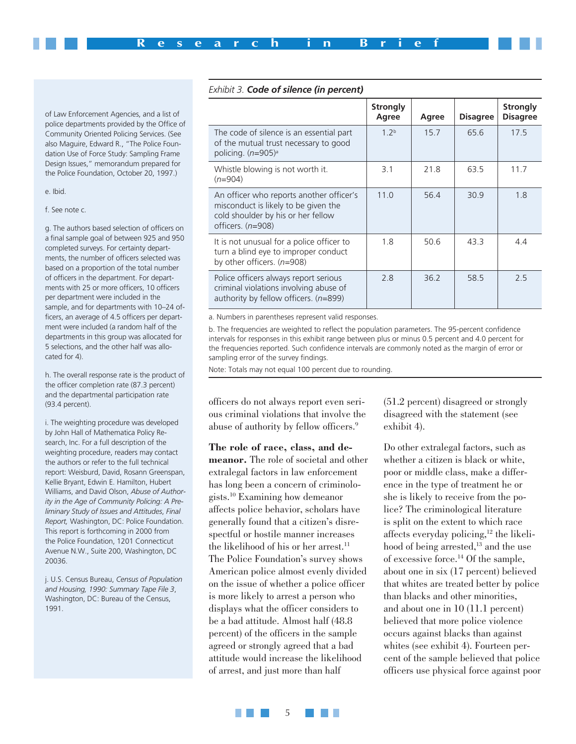of Law Enforcement Agencies, and a list of police departments provided by the Office of Community Oriented Policing Services. (See also Maguire, Edward R., "The Police Foundation Use of Force Study: Sampling Frame Design Issues," memorandum prepared for the Police Foundation, October 20, 1997.)

#### e. Ibid.

f. See note c.

g. The authors based selection of officers on a final sample goal of between 925 and 950 completed surveys. For certainty departments, the number of officers selected was based on a proportion of the total number of officers in the department. For departments with 25 or more officers, 10 officers per department were included in the sample, and for departments with 10–24 officers, an average of 4.5 officers per department were included (a random half of the departments in this group was allocated for 5 selections, and the other half was allocated for 4).

h. The overall response rate is the product of the officer completion rate (87.3 percent) and the departmental participation rate (93.4 percent).

i. The weighting procedure was developed by John Hall of Mathematica Policy Research, Inc. For a full description of the weighting procedure, readers may contact the authors or refer to the full technical report: Weisburd, David, Rosann Greenspan, Kellie Bryant, Edwin E. Hamilton, Hubert Williams, and David Olson, *Abuse of Authority in the Age of Community Policing: A Preliminary Study of Issues and Attitudes*, *Final Report,* Washington, DC: Police Foundation. This report is forthcoming in 2000 from the Police Foundation, 1201 Connecticut Avenue N.W., Suite 200, Washington, DC 20036.

j. U.S. Census Bureau, *Census of Population and Housing, 1990: Summary Tape File 3*, Washington, DC: Bureau of the Census, 1991.

|  |  | Exhibit 3. Code of silence (in percent) |  |  |
|--|--|-----------------------------------------|--|--|
|--|--|-----------------------------------------|--|--|

|                                                                                                                                               | <b>Strongly</b><br>Agree | Agree | <b>Disagree</b> | <b>Strongly</b><br><b>Disagree</b> |
|-----------------------------------------------------------------------------------------------------------------------------------------------|--------------------------|-------|-----------------|------------------------------------|
| The code of silence is an essential part<br>of the mutual trust necessary to good<br>policing. $(n=905)^{a}$                                  | 1.2 <sup>b</sup>         | 15.7  | 65.6            | 175                                |
| Whistle blowing is not worth it.<br>$(n=904)$                                                                                                 | 3.1                      | 21.8  | 63.5            | 11.7                               |
| An officer who reports another officer's<br>misconduct is likely to be given the<br>cold shoulder by his or her fellow<br>officers. $(n=908)$ | 11 <sub>0</sub>          | 56.4  | 30.9            | 1.8                                |
| It is not unusual for a police officer to<br>turn a blind eye to improper conduct<br>by other officers. $(n=908)$                             | 18                       | 50.6  | 43.3            | 4.4                                |
| Police officers always report serious<br>criminal violations involving abuse of<br>authority by fellow officers. (n=899)                      | 2.8                      | 36.2  | 58.5            | 25                                 |

a. Numbers in parentheses represent valid responses.

b. The frequencies are weighted to reflect the population parameters. The 95-percent confidence intervals for responses in this exhibit range between plus or minus 0.5 percent and 4.0 percent for the frequencies reported. Such confidence intervals are commonly noted as the margin of error or sampling error of the survey findings.

Note: Totals may not equal 100 percent due to rounding.

officers do not always report even serious criminal violations that involve the abuse of authority by fellow officers.<sup>9</sup>

**The role of race, class, and demeanor.** The role of societal and other extralegal factors in law enforcement has long been a concern of criminologists.10 Examining how demeanor affects police behavior, scholars have generally found that a citizen's disrespectful or hostile manner increases the likelihood of his or her arrest.<sup>11</sup> The Police Foundation's survey shows American police almost evenly divided on the issue of whether a police officer is more likely to arrest a person who displays what the officer considers to be a bad attitude. Almost half (48.8 percent) of the officers in the sample agreed or strongly agreed that a bad attitude would increase the likelihood of arrest, and just more than half

(51.2 percent) disagreed or strongly disagreed with the statement (see exhibit 4).

Do other extralegal factors, such as whether a citizen is black or white, poor or middle class, make a difference in the type of treatment he or she is likely to receive from the police? The criminological literature is split on the extent to which race affects everyday policing, $^{12}$  the likelihood of being arrested,<sup>13</sup> and the use of excessive force.14 Of the sample, about one in six (17 percent) believed that whites are treated better by police than blacks and other minorities, and about one in 10 (11.1 percent) believed that more police violence occurs against blacks than against whites (see exhibit 4). Fourteen percent of the sample believed that police officers use physical force against poor

5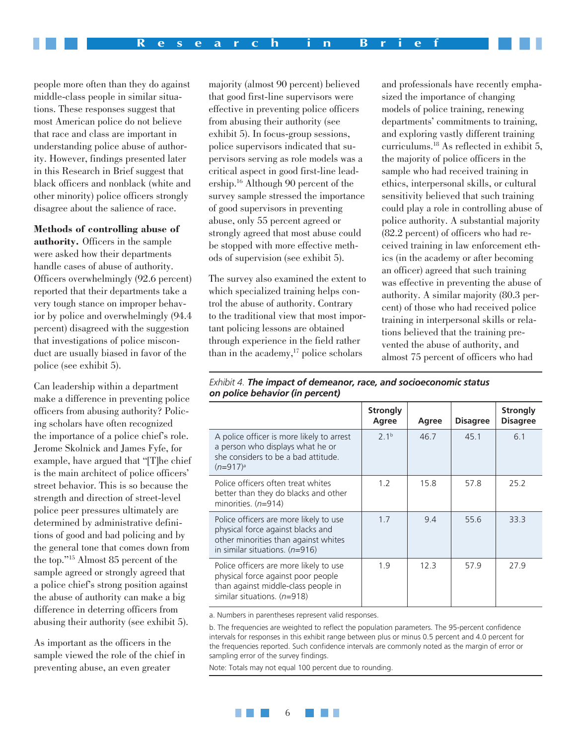people more often than they do against middle-class people in similar situations. These responses suggest that most American police do not believe that race and class are important in understanding police abuse of authority. However, findings presented later in this Research in Brief suggest that black officers and nonblack (white and other minority) police officers strongly disagree about the salience of race.

#### **Methods of controlling abuse of**

**authority.** Officers in the sample were asked how their departments handle cases of abuse of authority. Officers overwhelmingly (92.6 percent) reported that their departments take a very tough stance on improper behavior by police and overwhelmingly (94.4 percent) disagreed with the suggestion that investigations of police misconduct are usually biased in favor of the police (see exhibit 5).

Can leadership within a department make a difference in preventing police officers from abusing authority? Policing scholars have often recognized the importance of a police chief's role. Jerome Skolnick and James Fyfe, for example, have argued that "[T]he chief is the main architect of police officers' street behavior. This is so because the strength and direction of street-level police peer pressures ultimately are determined by administrative definitions of good and bad policing and by the general tone that comes down from the top."15 Almost 85 percent of the sample agreed or strongly agreed that a police chief's strong position against the abuse of authority can make a big difference in deterring officers from abusing their authority (see exhibit 5).

As important as the officers in the sample viewed the role of the chief in preventing abuse, an even greater

majority (almost 90 percent) believed that good first-line supervisors were effective in preventing police officers from abusing their authority (see exhibit 5). In focus-group sessions, police supervisors indicated that supervisors serving as role models was a critical aspect in good first-line leadership.16 Although 90 percent of the survey sample stressed the importance of good supervisors in preventing abuse, only 55 percent agreed or strongly agreed that most abuse could be stopped with more effective methods of supervision (see exhibit 5).

The survey also examined the extent to which specialized training helps control the abuse of authority. Contrary to the traditional view that most important policing lessons are obtained through experience in the field rather than in the academy, $17$  police scholars

and professionals have recently emphasized the importance of changing models of police training, renewing departments' commitments to training, and exploring vastly different training curriculums.18 As reflected in exhibit 5, the majority of police officers in the sample who had received training in ethics, interpersonal skills, or cultural sensitivity believed that such training could play a role in controlling abuse of police authority. A substantial majority (82.2 percent) of officers who had received training in law enforcement ethics (in the academy or after becoming an officer) agreed that such training was effective in preventing the abuse of authority. A similar majority (80.3 percent) of those who had received police training in interpersonal skills or relations believed that the training prevented the abuse of authority, and almost 75 percent of officers who had

#### *Exhibit 4. The impact of demeanor, race, and socioeconomic status on police behavior (in percent)*

|                                                                                                                                                         | Strongly<br>Agree | Agree | <b>Disagree</b> | <b>Strongly</b><br><b>Disagree</b> |
|---------------------------------------------------------------------------------------------------------------------------------------------------------|-------------------|-------|-----------------|------------------------------------|
| A police officer is more likely to arrest<br>a person who displays what he or<br>she considers to be a bad attitude.<br>$(n=917)^{a}$                   | 2.1 <sup>b</sup>  | 46.7  | 45.1            | 61                                 |
| Police officers often treat whites<br>better than they do blacks and other<br>minorities. $(n=914)$                                                     | 1.2               | 15.8  | 57.8            | 25.2                               |
| Police officers are more likely to use<br>physical force against blacks and<br>other minorities than against whites<br>in similar situations. $(n=916)$ | 17                | 94    | 556             | 333                                |
| Police officers are more likely to use<br>physical force against poor people<br>than against middle-class people in<br>similar situations. $(n=918)$    | 1.9               | 12.3  | 579             | 279                                |

a. Numbers in parentheses represent valid responses.

b. The frequencies are weighted to reflect the population parameters. The 95-percent confidence intervals for responses in this exhibit range between plus or minus 0.5 percent and 4.0 percent for the frequencies reported. Such confidence intervals are commonly noted as the margin of error or sampling error of the survey findings.

Note: Totals may not equal 100 percent due to rounding.

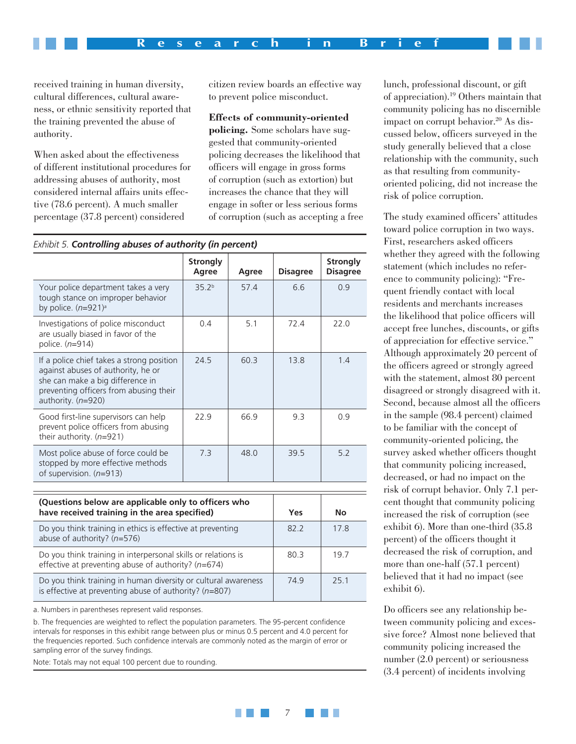received training in human diversity, cultural differences, cultural awareness, or ethnic sensitivity reported that the training prevented the abuse of authority.

When asked about the effectiveness of different institutional procedures for addressing abuses of authority, most considered internal affairs units effective (78.6 percent). A much smaller percentage (37.8 percent) considered

citizen review boards an effective way to prevent police misconduct.

**Effects of community-oriented policing.** Some scholars have suggested that community-oriented policing decreases the likelihood that officers will engage in gross forms of corruption (such as extortion) but increases the chance that they will engage in softer or less serious forms of corruption (such as accepting a free

|                                                                                                                                                                                       | <b>Strongly</b><br>Agree | Agree | <b>Disagree</b> | <b>Strongly</b><br><b>Disagree</b> |
|---------------------------------------------------------------------------------------------------------------------------------------------------------------------------------------|--------------------------|-------|-----------------|------------------------------------|
| Your police department takes a very<br>tough stance on improper behavior<br>by police. $(n=921)^a$                                                                                    | 35.2 <sup>b</sup>        | 57.4  | 6.6             | 0.9                                |
| Investigations of police misconduct<br>are usually biased in favor of the<br>police. $(n=914)$                                                                                        | 0.4                      | 5.1   | 72.4            | 22.0                               |
| If a police chief takes a strong position<br>against abuses of authority, he or<br>she can make a big difference in<br>preventing officers from abusing their<br>authority. $(n=920)$ | 24.5                     | 60.3  | 13.8            | 1.4                                |
| Good first-line supervisors can help<br>prevent police officers from abusing<br>their authority. $(n=921)$                                                                            | 22.9                     | 66.9  | 9.3             | 0.9                                |
| Most police abuse of force could be<br>stopped by more effective methods<br>of supervision. $(n=913)$                                                                                 | 7.3                      | 48.0  | 39.5            | 5.2                                |
|                                                                                                                                                                                       |                          |       |                 |                                    |

|  | Exhibit 5. Controlling abuses of authority (in percent) |  |  |  |  |
|--|---------------------------------------------------------|--|--|--|--|
|--|---------------------------------------------------------|--|--|--|--|

| (Questions below are applicable only to officers who<br>have received training in the area specified)                      | Yes | Nο  |
|----------------------------------------------------------------------------------------------------------------------------|-----|-----|
| Do you think training in ethics is effective at preventing<br>abuse of authority? $(n=576)$                                | 822 | 178 |
| Do you think training in interpersonal skills or relations is<br>effective at preventing abuse of authority? $(n=674)$     | 803 | 197 |
| Do you think training in human diversity or cultural awareness<br>is effective at preventing abuse of authority? $(n=807)$ | 749 | 251 |

a. Numbers in parentheses represent valid responses.

b. The frequencies are weighted to reflect the population parameters. The 95-percent confidence intervals for responses in this exhibit range between plus or minus 0.5 percent and 4.0 percent for the frequencies reported. Such confidence intervals are commonly noted as the margin of error or sampling error of the survey findings.

Note: Totals may not equal 100 percent due to rounding.

lunch, professional discount, or gift of appreciation).19 Others maintain that community policing has no discernible impact on corrupt behavior.<sup>20</sup> As discussed below, officers surveyed in the study generally believed that a close relationship with the community, such as that resulting from communityoriented policing, did not increase the risk of police corruption.

The study examined officers' attitudes toward police corruption in two ways. First, researchers asked officers whether they agreed with the following statement (which includes no reference to community policing): "Frequent friendly contact with local residents and merchants increases the likelihood that police officers will accept free lunches, discounts, or gifts of appreciation for effective service." Although approximately 20 percent of the officers agreed or strongly agreed with the statement, almost 80 percent disagreed or strongly disagreed with it. Second, because almost all the officers in the sample (98.4 percent) claimed to be familiar with the concept of community-oriented policing, the survey asked whether officers thought that community policing increased, decreased, or had no impact on the risk of corrupt behavior. Only 7.1 percent thought that community policing increased the risk of corruption (see exhibit 6). More than one-third (35.8 percent) of the officers thought it decreased the risk of corruption, and more than one-half (57.1 percent) believed that it had no impact (see exhibit 6).

Do officers see any relationship between community policing and excessive force? Almost none believed that community policing increased the number (2.0 percent) or seriousness (3.4 percent) of incidents involving

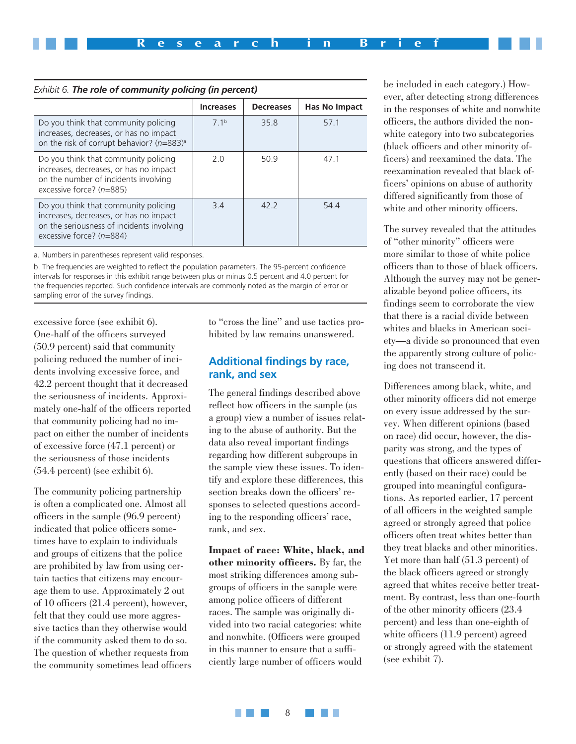| Exhibit 6. The role of community policing (in percent) |
|--------------------------------------------------------|
|--------------------------------------------------------|

|                                                                                                                                                           | <b>Increases</b> | <b>Decreases</b> | Has No Impact |
|-----------------------------------------------------------------------------------------------------------------------------------------------------------|------------------|------------------|---------------|
| Do you think that community policing<br>increases, decreases, or has no impact<br>on the risk of corrupt behavior? $(n=883)^{a}$                          | 7.1 <sup>b</sup> | 35.8             | 57 1          |
| Do you think that community policing<br>increases, decreases, or has no impact<br>on the number of incidents involving<br>excessive force? $(n=885)$      | 20               | 50.9             | 471           |
| Do you think that community policing<br>increases, decreases, or has no impact<br>on the seriousness of incidents involving<br>excessive force? $(n=884)$ | 3.4              | 422              | 54.4          |

a. Numbers in parentheses represent valid responses.

b. The frequencies are weighted to reflect the population parameters. The 95-percent confidence intervals for responses in this exhibit range between plus or minus 0.5 percent and 4.0 percent for the frequencies reported. Such confidence intervals are commonly noted as the margin of error or sampling error of the survey findings.

excessive force (see exhibit 6). One-half of the officers surveyed (50.9 percent) said that community policing reduced the number of incidents involving excessive force, and 42.2 percent thought that it decreased the seriousness of incidents. Approximately one-half of the officers reported that community policing had no impact on either the number of incidents of excessive force (47.1 percent) or the seriousness of those incidents (54.4 percent) (see exhibit 6).

The community policing partnership is often a complicated one. Almost all officers in the sample (96.9 percent) indicated that police officers sometimes have to explain to individuals and groups of citizens that the police are prohibited by law from using certain tactics that citizens may encourage them to use. Approximately 2 out of 10 officers (21.4 percent), however, felt that they could use more aggressive tactics than they otherwise would if the community asked them to do so. The question of whether requests from the community sometimes lead officers to "cross the line" and use tactics prohibited by law remains unanswered.

#### **Additional findings by race, rank, and sex**

The general findings described above reflect how officers in the sample (as a group) view a number of issues relating to the abuse of authority. But the data also reveal important findings regarding how different subgroups in the sample view these issues. To identify and explore these differences, this section breaks down the officers' responses to selected questions according to the responding officers' race, rank, and sex.

**Impact of race: White, black, and other minority officers.** By far, the most striking differences among subgroups of officers in the sample were among police officers of different races. The sample was originally divided into two racial categories: white and nonwhite. (Officers were grouped in this manner to ensure that a sufficiently large number of officers would

be included in each category.) However, after detecting strong differences in the responses of white and nonwhite officers, the authors divided the nonwhite category into two subcategories (black officers and other minority officers) and reexamined the data. The reexamination revealed that black officers' opinions on abuse of authority differed significantly from those of white and other minority officers.

The survey revealed that the attitudes of "other minority" officers were more similar to those of white police officers than to those of black officers. Although the survey may not be generalizable beyond police officers, its findings seem to corroborate the view that there is a racial divide between whites and blacks in American society—a divide so pronounced that even the apparently strong culture of policing does not transcend it.

Differences among black, white, and other minority officers did not emerge on every issue addressed by the survey. When different opinions (based on race) did occur, however, the disparity was strong, and the types of questions that officers answered differently (based on their race) could be grouped into meaningful configurations. As reported earlier, 17 percent of all officers in the weighted sample agreed or strongly agreed that police officers often treat whites better than they treat blacks and other minorities. Yet more than half (51.3 percent) of the black officers agreed or strongly agreed that whites receive better treatment. By contrast, less than one-fourth of the other minority officers (23.4 percent) and less than one-eighth of white officers (11.9 percent) agreed or strongly agreed with the statement (see exhibit 7).

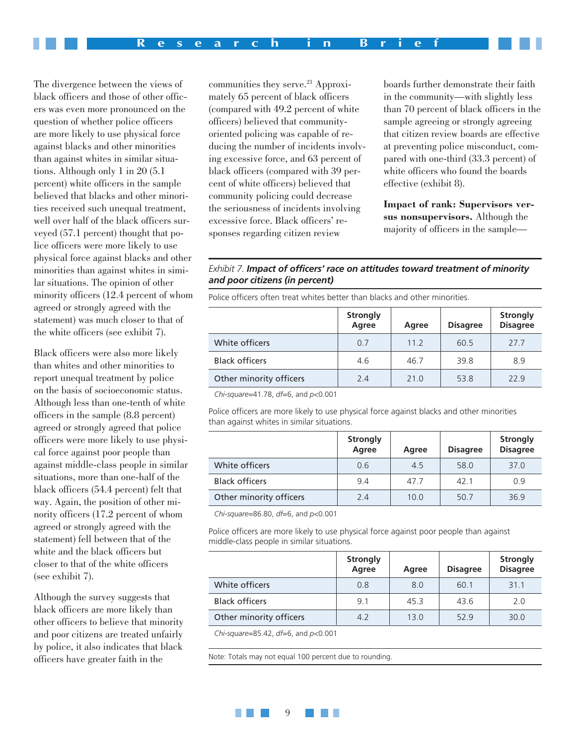The divergence between the views of black officers and those of other officers was even more pronounced on the question of whether police officers are more likely to use physical force against blacks and other minorities than against whites in similar situations. Although only 1 in 20 (5.1 percent) white officers in the sample believed that blacks and other minorities received such unequal treatment. well over half of the black officers surveyed (57.1 percent) thought that police officers were more likely to use physical force against blacks and other minorities than against whites in similar situations. The opinion of other minority officers (12.4 percent of whom agreed or strongly agreed with the statement) was much closer to that of the white officers (see exhibit 7).

Black officers were also more likely than whites and other minorities to report unequal treatment by police on the basis of socioeconomic status. Although less than one-tenth of white officers in the sample (8.8 percent) agreed or strongly agreed that police officers were more likely to use physical force against poor people than against middle-class people in similar situations, more than one-half of the black officers (54.4 percent) felt that way. Again, the position of other minority officers (17.2 percent of whom agreed or strongly agreed with the statement) fell between that of the white and the black officers but closer to that of the white officers (see exhibit 7).

Although the survey suggests that black officers are more likely than other officers to believe that minority and poor citizens are treated unfairly by police, it also indicates that black officers have greater faith in the

communities they serve.<sup>21</sup> Approximately 65 percent of black officers (compared with 49.2 percent of white officers) believed that communityoriented policing was capable of reducing the number of incidents involving excessive force, and 63 percent of black officers (compared with 39 percent of white officers) believed that community policing could decrease the seriousness of incidents involving excessive force. Black officers' responses regarding citizen review

boards further demonstrate their faith in the community—with slightly less than 70 percent of black officers in the sample agreeing or strongly agreeing that citizen review boards are effective at preventing police misconduct, compared with one-third (33.3 percent) of white officers who found the boards effective (exhibit 8).

**Impact of rank: Supervisors versus nonsupervisors.** Although the majority of officers in the sample—

#### *Exhibit 7. Impact of officers' race on attitudes toward treatment of minority and poor citizens (in percent)*

|                         | <b>Strongly</b><br>Agree | Agree | <b>Disagree</b> | <b>Strongly</b><br><b>Disagree</b> |
|-------------------------|--------------------------|-------|-----------------|------------------------------------|
| White officers          | 0.7                      | 11.2  | 60.5            | 27.7                               |
| <b>Black officers</b>   | 4.6                      | 46.7  | 39.8            | 8.9                                |
| Other minority officers | 2.4                      | 21.0  | 53.8            | 229                                |

Police officers often treat whites better than blacks and other minorities.

*Chi-square*=41.78, *df*=6, and *p*<0.001

Police officers are more likely to use physical force against blacks and other minorities than against whites in similar situations.

|                         | <b>Strongly</b><br>Agree | Agree | <b>Disagree</b> | <b>Strongly</b><br><b>Disagree</b> |
|-------------------------|--------------------------|-------|-----------------|------------------------------------|
| White officers          | 0.6                      | 4.5   | 58.0            | 37.0                               |
| <b>Black officers</b>   | 9.4                      | 47.7  | 421             | 0.9                                |
| Other minority officers | 2.4                      | 10.0  | 50.7            | 36.9                               |

*Chi-square*=86.80, *df*=6, and *p*<0.001

Police officers are more likely to use physical force against poor people than against middle-class people in similar situations.

|                         | <b>Strongly</b><br>Agree | Agree | <b>Disagree</b> | <b>Strongly</b><br><b>Disagree</b> |
|-------------------------|--------------------------|-------|-----------------|------------------------------------|
| White officers          | 0.8                      | 8.0   | 60.1            | 31.1                               |
| <b>Black officers</b>   | 9.1                      | 45.3  | 43.6            | 2.0                                |
| Other minority officers | 4.2                      | 13.0  | 52.9            | 30.0                               |
|                         |                          |       |                 |                                    |

*Chi-square*=85.42, *df*=6, and *p*<0.001

Note: Totals may not equal 100 percent due to rounding.

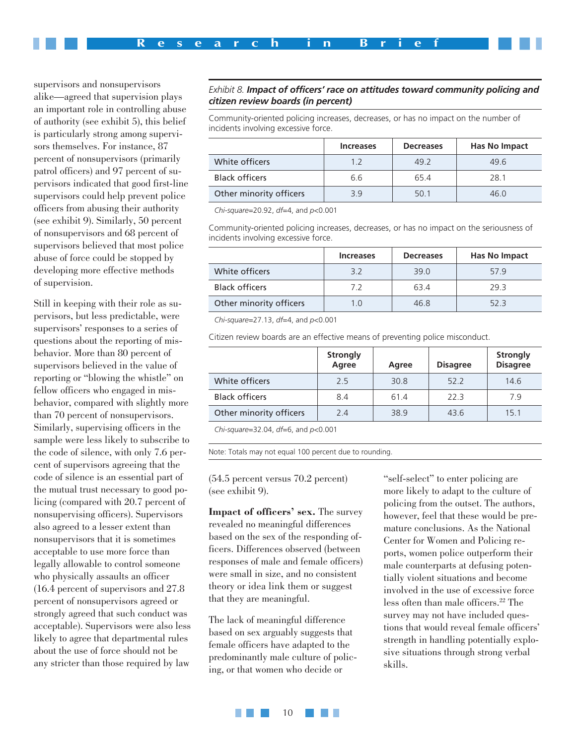supervisors and nonsupervisors alike—agreed that supervision plays an important role in controlling abuse of authority (see exhibit 5), this belief is particularly strong among supervisors themselves. For instance, 87 percent of nonsupervisors (primarily patrol officers) and 97 percent of supervisors indicated that good first-line supervisors could help prevent police officers from abusing their authority (see exhibit 9). Similarly, 50 percent of nonsupervisors and 68 percent of supervisors believed that most police abuse of force could be stopped by developing more effective methods of supervision.

Still in keeping with their role as supervisors, but less predictable, were supervisors' responses to a series of questions about the reporting of misbehavior. More than 80 percent of supervisors believed in the value of reporting or "blowing the whistle" on fellow officers who engaged in misbehavior, compared with slightly more than 70 percent of nonsupervisors. Similarly, supervising officers in the sample were less likely to subscribe to the code of silence, with only 7.6 percent of supervisors agreeing that the code of silence is an essential part of the mutual trust necessary to good policing (compared with 20.7 percent of nonsupervising officers). Supervisors also agreed to a lesser extent than nonsupervisors that it is sometimes acceptable to use more force than legally allowable to control someone who physically assaults an officer (16.4 percent of supervisors and 27.8 percent of nonsupervisors agreed or strongly agreed that such conduct was acceptable). Supervisors were also less likely to agree that departmental rules about the use of force should not be any stricter than those required by law

#### *Exhibit 8. Impact of officers' race on attitudes toward community policing and citizen review boards (in percent)*

Community-oriented policing increases, decreases, or has no impact on the number of incidents involving excessive force.

|                         | <b>Increases</b> | <b>Decreases</b> | <b>Has No Impact</b> |
|-------------------------|------------------|------------------|----------------------|
| White officers          | 1つ               | 49.2             | 49 G                 |
| <b>Black officers</b>   | 6.6              | 654              | 28.1                 |
| Other minority officers | 39               | 50 1             | 46 N                 |

*Chi-square*=20.92, *df*=4, and *p*<0.001

Community-oriented policing increases, decreases, or has no impact on the seriousness of incidents involving excessive force.

|                         | <b>Increases</b> | <b>Decreases</b> | Has No Impact |
|-------------------------|------------------|------------------|---------------|
| White officers          | 3.2              | 39.0             | 579           |
| <b>Black officers</b>   | 72               | 634              | 293           |
| Other minority officers |                  | 468              | 523           |

*Chi-square*=27.13, *df*=4, and *p*<0.001

Citizen review boards are an effective means of preventing police misconduct.

|                         | <b>Strongly</b><br>Agree | Agree | <b>Disagree</b> | <b>Strongly</b><br><b>Disagree</b> |
|-------------------------|--------------------------|-------|-----------------|------------------------------------|
| White officers          | 2.5                      | 30.8  | 52.2            | 14.6                               |
| <b>Black officers</b>   | 8.4                      | 61.4  | 22.3            | 79                                 |
| Other minority officers | 2.4                      | 38.9  | 43.6            | 15.1                               |

*Chi-square*=32.04, *df*=6, and *p*<0.001

Note: Totals may not equal 100 percent due to rounding.

(54.5 percent versus 70.2 percent) (see exhibit 9).

**Impact of officers' sex.** The survey revealed no meaningful differences based on the sex of the responding officers. Differences observed (between responses of male and female officers) were small in size, and no consistent theory or idea link them or suggest that they are meaningful.

The lack of meaningful difference based on sex arguably suggests that female officers have adapted to the predominantly male culture of policing, or that women who decide or

"self-select" to enter policing are more likely to adapt to the culture of policing from the outset. The authors, however, feel that these would be premature conclusions. As the National Center for Women and Policing reports, women police outperform their male counterparts at defusing potentially violent situations and become involved in the use of excessive force less often than male officers.22 The survey may not have included questions that would reveal female officers' strength in handling potentially explosive situations through strong verbal skills.

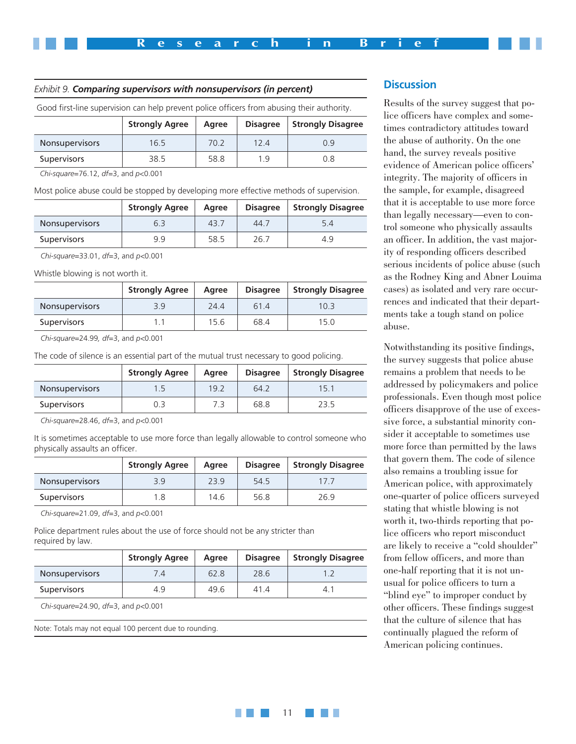#### *Exhibit 9. Comparing supervisors with nonsupervisors (in percent)*

Good first-line supervision can help prevent police officers from abusing their authority.

|                    | <b>Strongly Agree</b> | Agree | <b>Disagree</b> | <b>Strongly Disagree</b> |
|--------------------|-----------------------|-------|-----------------|--------------------------|
| Nonsupervisors     | 16.5                  | 70.2  | 12.4            | 0.9                      |
| <b>Supervisors</b> | 38.5                  | 58.8  | 1.9             | 0.8                      |

*Chi-square*=76.12, *df*=3, and *p<*0.001

Most police abuse could be stopped by developing more effective methods of supervision.

|                       | <b>Strongly Agree</b> | Agree | <b>Disagree</b> | <b>Strongly Disagree</b> |
|-----------------------|-----------------------|-------|-----------------|--------------------------|
| <b>Nonsupervisors</b> | 6.3                   | 43.7  | 44.7            | 5.4                      |
| <b>Supervisors</b>    | 9.9                   | 58.5  | 26.7            | 4.9                      |

 *Chi-square*=33.01, *df*=3, and *p<*0.001

Whistle blowing is not worth it.

|                       | <b>Strongly Agree</b> | Agree | <b>Disagree</b> | <b>Strongly Disagree</b> |
|-----------------------|-----------------------|-------|-----------------|--------------------------|
| <b>Nonsupervisors</b> | 3.9                   | 24.4  | 61.4            | 10.3                     |
| <b>Supervisors</b>    |                       | 15.6  | 68.4            | 15.0                     |

 *Chi-square*=24.99*, df*=3, and *p<*0.001

The code of silence is an essential part of the mutual trust necessary to good policing.

|                       | <b>Strongly Agree</b> | Agree | <b>Disagree</b> | <b>Strongly Disagree</b> |
|-----------------------|-----------------------|-------|-----------------|--------------------------|
| <b>Nonsupervisors</b> |                       | 19.2  | 64.2            | 15.1                     |
| <b>Supervisors</b>    | 0.3                   |       | 68.8            | 23.5                     |

 *Chi-square*=28.46, *df*=3, and *p<*0.001

It is sometimes acceptable to use more force than legally allowable to control someone who physically assaults an officer.

|                       | <b>Strongly Agree</b> | Agree | <b>Disagree</b> | <b>Strongly Disagree</b> |
|-----------------------|-----------------------|-------|-----------------|--------------------------|
| <b>Nonsupervisors</b> | 3.9                   | 23.9  | 54.5            | 17.7                     |
| <b>Supervisors</b>    | 1.8                   | 14.6  | 56.8            | 26.9                     |

 *Chi-square*=21.09, *df*=3, and *p<*0.001

Police department rules about the use of force should not be any stricter than required by law.

|                       | <b>Strongly Agree</b> | Agree | <b>Disagree</b> | <b>Strongly Disagree</b> |
|-----------------------|-----------------------|-------|-----------------|--------------------------|
| <b>Nonsupervisors</b> | 7.4                   | 62.8  | 28.6            |                          |
| <b>Supervisors</b>    | 4.9                   | 49.6  | 41.4            | 4.                       |

 *Chi-square*=24.90, *df*=3, and *p<*0.001

Note: Totals may not equal 100 percent due to rounding.

#### **Discussion**

Results of the survey suggest that police officers have complex and sometimes contradictory attitudes toward the abuse of authority. On the one hand, the survey reveals positive evidence of American police officers' integrity. The majority of officers in the sample, for example, disagreed that it is acceptable to use more force than legally necessary—even to control someone who physically assaults an officer. In addition, the vast majority of responding officers described serious incidents of police abuse (such as the Rodney King and Abner Louima cases) as isolated and very rare occurrences and indicated that their departments take a tough stand on police abuse.

Notwithstanding its positive findings, the survey suggests that police abuse remains a problem that needs to be addressed by policymakers and police professionals. Even though most police officers disapprove of the use of excessive force, a substantial minority consider it acceptable to sometimes use more force than permitted by the laws that govern them. The code of silence also remains a troubling issue for American police, with approximately one-quarter of police officers surveyed stating that whistle blowing is not worth it, two-thirds reporting that police officers who report misconduct are likely to receive a "cold shoulder" from fellow officers, and more than one-half reporting that it is not unusual for police officers to turn a "blind eye" to improper conduct by other officers. These findings suggest that the culture of silence that has continually plagued the reform of American policing continues.

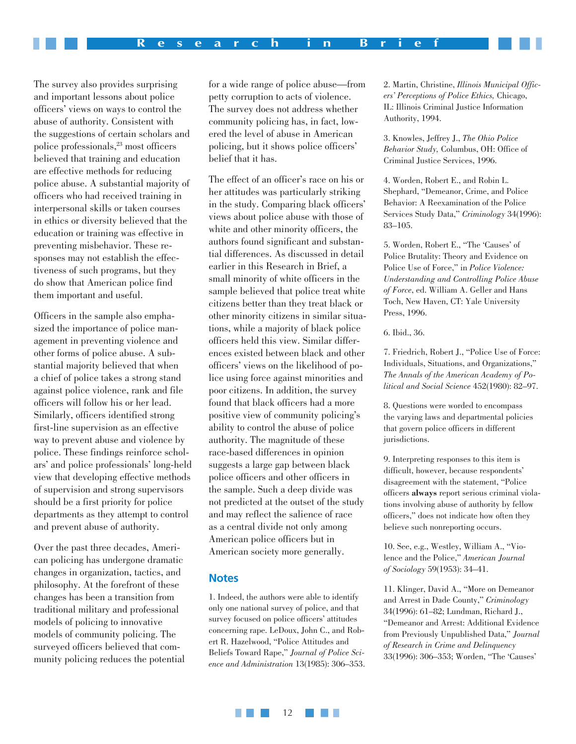The survey also provides surprising and important lessons about police officers' views on ways to control the abuse of authority. Consistent with the suggestions of certain scholars and police professionals,23 most officers believed that training and education are effective methods for reducing police abuse. A substantial majority of officers who had received training in interpersonal skills or taken courses in ethics or diversity believed that the education or training was effective in preventing misbehavior. These responses may not establish the effectiveness of such programs, but they do show that American police find them important and useful.

Officers in the sample also emphasized the importance of police management in preventing violence and other forms of police abuse. A substantial majority believed that when a chief of police takes a strong stand against police violence, rank and file officers will follow his or her lead. Similarly, officers identified strong first-line supervision as an effective way to prevent abuse and violence by police. These findings reinforce scholars' and police professionals' long-held view that developing effective methods of supervision and strong supervisors should be a first priority for police departments as they attempt to control and prevent abuse of authority.

Over the past three decades, American policing has undergone dramatic changes in organization, tactics, and philosophy. At the forefront of these changes has been a transition from traditional military and professional models of policing to innovative models of community policing. The surveyed officers believed that community policing reduces the potential for a wide range of police abuse—from petty corruption to acts of violence. The survey does not address whether community policing has, in fact, lowered the level of abuse in American policing, but it shows police officers' belief that it has.

The effect of an officer's race on his or her attitudes was particularly striking in the study. Comparing black officers' views about police abuse with those of white and other minority officers, the authors found significant and substantial differences. As discussed in detail earlier in this Research in Brief, a small minority of white officers in the sample believed that police treat white citizens better than they treat black or other minority citizens in similar situations, while a majority of black police officers held this view. Similar differences existed between black and other officers' views on the likelihood of police using force against minorities and poor citizens. In addition, the survey found that black officers had a more positive view of community policing's ability to control the abuse of police authority. The magnitude of these race-based differences in opinion suggests a large gap between black police officers and other officers in the sample. Such a deep divide was not predicted at the outset of the study and may reflect the salience of race as a central divide not only among American police officers but in American society more generally.

#### **Notes**

1. Indeed, the authors were able to identify only one national survey of police, and that survey focused on police officers' attitudes concerning rape. LeDoux, John C., and Robert R. Hazelwood, "Police Attitudes and Beliefs Toward Rape," *Journal of Police Science and Administration* 13(1985): 306–353. 2. Martin, Christine, *Illinois Municipal Officers' Perceptions of Police Ethics,* Chicago, IL: Illinois Criminal Justice Information Authority, 1994.

3. Knowles, Jeffrey J., *The Ohio Police Behavior Study,* Columbus, OH: Office of Criminal Justice Services, 1996.

4. Worden, Robert E., and Robin L. Shephard, "Demeanor, Crime, and Police Behavior: A Reexamination of the Police Services Study Data," *Criminology* 34(1996): 83–105.

5. Worden, Robert E., "The 'Causes' of Police Brutality: Theory and Evidence on Police Use of Force," in *Police Violence: Understanding and Controlling Police Abuse of Force*, ed. William A. Geller and Hans Toch, New Haven, CT: Yale University Press, 1996.

6. Ibid., 36.

7. Friedrich, Robert J., "Police Use of Force: Individuals, Situations, and Organizations," *The Annals of the American Academy of Political and Social Science* 452(1980): 82–97.

8. Questions were worded to encompass the varying laws and departmental policies that govern police officers in different jurisdictions.

9. Interpreting responses to this item is difficult, however, because respondents' disagreement with the statement, "Police officers **always** report serious criminal violations involving abuse of authority by fellow officers," does not indicate how often they believe such nonreporting occurs.

10. See, e.g., Westley, William A., "Violence and the Police," *American Journal of Sociology* 59(1953): 34–41.

11. Klinger, David A., "More on Demeanor and Arrest in Dade County," *Criminology* 34(1996): 61–82; Lundman, Richard J., "Demeanor and Arrest: Additional Evidence from Previously Unpublished Data," *Journal of Research in Crime and Delinquency* 33(1996): 306–353; Worden, "The 'Causes'

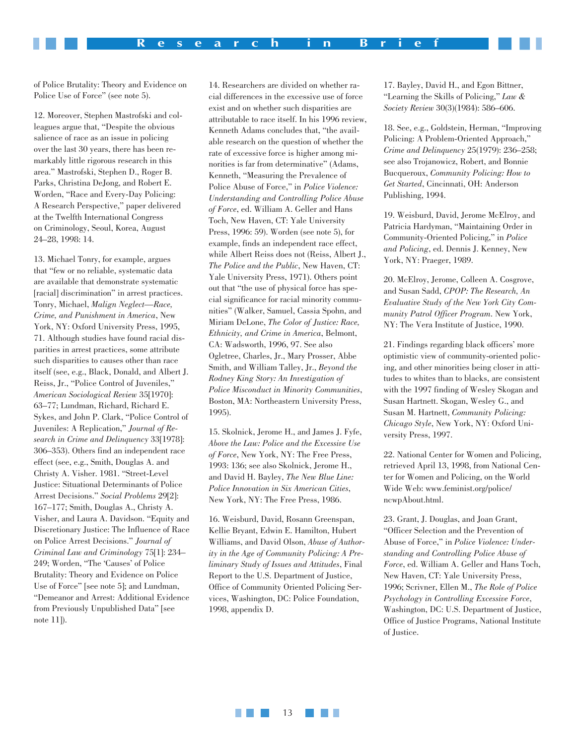of Police Brutality: Theory and Evidence on Police Use of Force" (see note 5).

12. Moreover, Stephen Mastrofski and colleagues argue that, "Despite the obvious salience of race as an issue in policing over the last 30 years, there has been remarkably little rigorous research in this area." Mastrofski, Stephen D., Roger B. Parks, Christina DeJong, and Robert E. Worden, "Race and Every-Day Policing: A Research Perspective," paper delivered at the Twelfth International Congress on Criminology, Seoul, Korea, August 24–28, 1998: 14.

13. Michael Tonry, for example, argues that "few or no reliable, systematic data are available that demonstrate systematic [racial] discrimination" in arrest practices. Tonry, Michael, *Malign Neglect—Race, Crime, and Punishment in America*, New York, NY: Oxford University Press, 1995, 71. Although studies have found racial disparities in arrest practices, some attribute such disparities to causes other than race itself (see, e.g., Black, Donald, and Albert J. Reiss, Jr., "Police Control of Juveniles," *American Sociological Review* 35[1970]: 63–77; Lundman, Richard, Richard E. Sykes, and John P. Clark, "Police Control of Juveniles: A Replication," *Journal of Research in Crime and Delinquency* 33[1978]: 306–353). Others find an independent race effect (see, e.g., Smith, Douglas A. and Christy A. Visher. 1981. "Street-Level Justice: Situational Determinants of Police Arrest Decisions." *Social Problems* 29[2]: 167–177; Smith, Douglas A., Christy A. Visher, and Laura A. Davidson. "Equity and Discretionary Justice: The Influence of Race on Police Arrest Decisions." *Journal of Criminal Law and Criminology* 75[1]: 234– 249; Worden, "The 'Causes' of Police Brutality: Theory and Evidence on Police Use of Force" [see note 5]; and Lundman, "Demeanor and Arrest: Additional Evidence from Previously Unpublished Data" [see note 11]).

14. Researchers are divided on whether racial differences in the excessive use of force exist and on whether such disparities are attributable to race itself. In his 1996 review, Kenneth Adams concludes that, "the available research on the question of whether the rate of excessive force is higher among minorities is far from determinative" (Adams, Kenneth, "Measuring the Prevalence of Police Abuse of Force," in *Police Violence: Understanding and Controlling Police Abuse of Force*, ed. William A. Geller and Hans Toch, New Haven, CT: Yale University Press, 1996: 59). Worden (see note 5), for example, finds an independent race effect, while Albert Reiss does not (Reiss, Albert J., *The Police and the Public*, New Haven, CT: Yale University Press, 1971). Others point out that "the use of physical force has special significance for racial minority communities" (Walker, Samuel, Cassia Spohn, and Miriam DeLone, *The Color of Justice: Race, Ethnicity, and Crime in America*, Belmont, CA: Wadsworth, 1996, 97. See also Ogletree, Charles, Jr., Mary Prosser, Abbe Smith, and William Talley, Jr., *Beyond the Rodney King Story: An Investigation of Police Misconduct in Minority Communities*, Boston, MA: Northeastern University Press, 1995).

15. Skolnick, Jerome H., and James J. Fyfe, *Above the Law: Police and the Excessive Use of Force*, New York, NY: The Free Press, 1993: 136; see also Skolnick, Jerome H., and David H. Bayley, *The New Blue Line: Police Innovation in Six American Cities*, New York, NY: The Free Press, 1986.

16. Weisburd, David, Rosann Greenspan, Kellie Bryant, Edwin E. Hamilton, Hubert Williams, and David Olson, *Abuse of Authority in the Age of Community Policing: A Preliminary Study of Issues and Attitudes*, Final Report to the U.S. Department of Justice, Office of Community Oriented Policing Services, Washington, DC: Police Foundation, 1998, appendix D.

17. Bayley, David H., and Egon Bittner, "Learning the Skills of Policing," *Law & Society Review* 30(3)(1984): 586–606.

18. See, e.g., Goldstein, Herman, "Improving Policing: A Problem-Oriented Approach," *Crime and Delinquency* 25(1979): 236–258; see also Trojanowicz, Robert, and Bonnie Bucqueroux, *Community Policing: How to Get Started*, Cincinnati, OH: Anderson Publishing, 1994.

19. Weisburd, David, Jerome McElroy, and Patricia Hardyman, "Maintaining Order in Community-Oriented Policing," in *Police and Policing*, ed. Dennis J. Kenney, New York, NY: Praeger, 1989.

20. McElroy, Jerome, Colleen A. Cosgrove, and Susan Sadd, *CPOP: The Research, An Evaluative Study of the New York City Community Patrol Officer Program*. New York, NY: The Vera Institute of Justice, 1990.

21. Findings regarding black officers' more optimistic view of community-oriented policing, and other minorities being closer in attitudes to whites than to blacks, are consistent with the 1997 finding of Wesley Skogan and Susan Hartnett. Skogan, Wesley G., and Susan M. Hartnett, *Community Policing: Chicago Style*, New York, NY: Oxford University Press, 1997.

22. National Center for Women and Policing, retrieved April 13, 1998, from National Center for Women and Policing, on the World Wide Web: www.feminist.org/police/ ncwpAbout.html.

23. Grant, J. Douglas, and Joan Grant, "Officer Selection and the Prevention of Abuse of Force," in *Police Violence: Understanding and Controlling Police Abuse of Force*, ed. William A. Geller and Hans Toch, New Haven, CT: Yale University Press, 1996; Scrivner, Ellen M., *The Role of Police Psychology in Controlling Excessive Force*, Washington, DC: U.S. Department of Justice, Office of Justice Programs, National Institute of Justice.

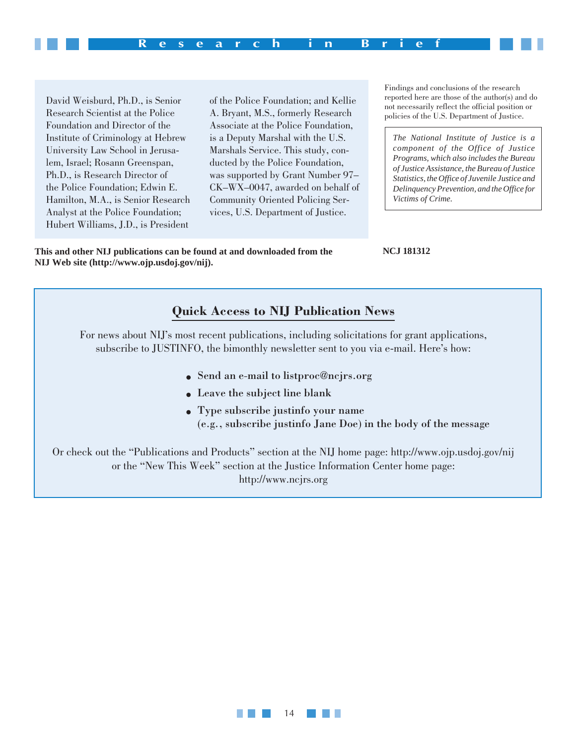David Weisburd, Ph.D., is Senior Research Scientist at the Police Foundation and Director of the Institute of Criminology at Hebrew University Law School in Jerusalem, Israel; Rosann Greenspan, Ph.D., is Research Director of the Police Foundation; Edwin E. Hamilton, M.A., is Senior Research Analyst at the Police Foundation; Hubert Williams, J.D., is President

of the Police Foundation; and Kellie A. Bryant, M.S., formerly Research Associate at the Police Foundation, is a Deputy Marshal with the U.S. Marshals Service. This study, conducted by the Police Foundation, was supported by Grant Number 97– CK–WX–0047, awarded on behalf of Community Oriented Policing Services, U.S. Department of Justice.

Findings and conclusions of the research reported here are those of the author(s) and do not necessarily reflect the official position or policies of the U.S. Department of Justice.

*The National Institute of Justice is a component of the Office of Justice Programs, which also includes the Bureau of Justice Assistance, the Bureau of Justice Statistics, the Office of Juvenile Justice and Delinquency Prevention, and the Office for Victims of Crime.*

**This and other NIJ publications can be found at and downloaded from the NIJ Web site (http://www.ojp.usdoj.gov/nij).**

#### **NCJ 181312**

### **Quick Access to NIJ Publication News** For news about NIJ's most recent publications, including solicitations for grant applications, subscribe to JUSTINFO, the bimonthly newsletter sent to you via e-mail. Here's how: • Send an e-mail to listproc@ncjrs.org • Leave the subject line blank ● Type subscribe justinfo your name (e.g., subscribe justinfo Jane Doe) in the body of the message

Or check out the "Publications and Products" section at the NIJ home page: http://www.ojp.usdoj.gov/nij or the "New This Week" section at the Justice Information Center home page: http://www.ncjrs.org